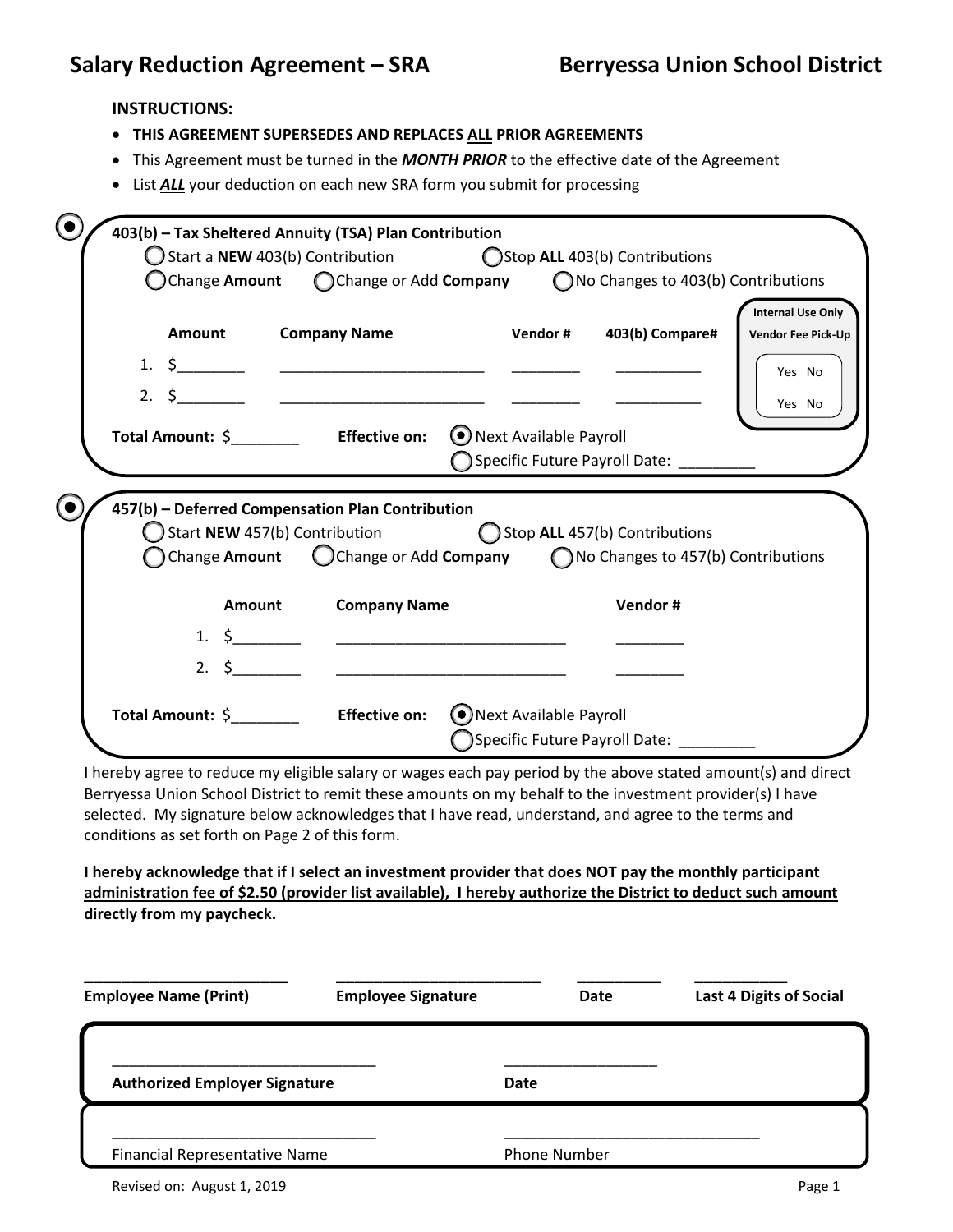## **INSTRUCTIONS:**

- **THIS AGREEMENT SUPERSEDES AND REPLACES ALL PRIOR AGREEMENTS**
- This Agreement must be turned in the *MONTH PRIOR* to the effective date of the Agreement
- List **ALL** your deduction on each new SRA form you submit for processing

|                                                                                                                                                                                                                                                                   | $\bigcirc$ Start a NEW 403(b) Contribution $\bigcirc$ Stop ALL 403(b) Contributions                                                              |                               |                                      |                                                       |
|-------------------------------------------------------------------------------------------------------------------------------------------------------------------------------------------------------------------------------------------------------------------|--------------------------------------------------------------------------------------------------------------------------------------------------|-------------------------------|--------------------------------------|-------------------------------------------------------|
|                                                                                                                                                                                                                                                                   | $\bigcirc$ Change Amount $\bigcirc$ Change or Add Company $\bigcirc$ No Changes to 403(b) Contributions                                          |                               |                                      |                                                       |
| Amount<br>1. $\frac{1}{2}$                                                                                                                                                                                                                                        | <b>Company Name</b>                                                                                                                              | Vendor#                       | 403(b) Compare#                      | <b>Internal Use Only</b><br><b>Vendor Fee Pick-Up</b> |
|                                                                                                                                                                                                                                                                   |                                                                                                                                                  |                               |                                      | Yes No<br>Yes No                                      |
|                                                                                                                                                                                                                                                                   | Total Amount: \$ Effective on: ● Next Available Payroll                                                                                          |                               |                                      |                                                       |
|                                                                                                                                                                                                                                                                   |                                                                                                                                                  |                               | ◯ Specific Future Payroll Date:      |                                                       |
| $\bigcirc$ Start NEW 457(b) Contribution                                                                                                                                                                                                                          | 457(b) - Deferred Compensation Plan Contribution<br>Change Amount $\bigcirc$ Change or Add Company $\bigcirc$ No Changes to 457(b) Contributions | Stop ALL 457(b) Contributions |                                      |                                                       |
| Amount<br>1. $\sim$                                                                                                                                                                                                                                               | <b>Company Name</b>                                                                                                                              |                               | Vendor#                              |                                                       |
|                                                                                                                                                                                                                                                                   |                                                                                                                                                  |                               |                                      |                                                       |
|                                                                                                                                                                                                                                                                   | Total Amount: \$ Effective on: ONext Available Payroll                                                                                           |                               | ◯Specific Future Payroll Date: _____ |                                                       |
| I hereby agree to reduce my eligible salary or wages each pay period by the above stated amount(s) and direct                                                                                                                                                     |                                                                                                                                                  |                               |                                      |                                                       |
|                                                                                                                                                                                                                                                                   |                                                                                                                                                  |                               |                                      |                                                       |
| Berryessa Union School District to remit these amounts on my behalf to the investment provider(s) I have<br>selected. My signature below acknowledges that I have read, understand, and agree to the terms and<br>conditions as set forth on Page 2 of this form. |                                                                                                                                                  |                               |                                      |                                                       |
| I hereby acknowledge that if I select an investment provider that does NOT pay the monthly participant                                                                                                                                                            |                                                                                                                                                  |                               |                                      |                                                       |

| <b>Employee Name (Print)</b>         | <b>Employee Signature</b> | Date                | <b>Last 4 Digits of Social</b> |
|--------------------------------------|---------------------------|---------------------|--------------------------------|
| <b>Authorized Employer Signature</b> |                           | Date                |                                |
|                                      |                           |                     |                                |
| <b>Financial Representative Name</b> |                           | <b>Phone Number</b> |                                |